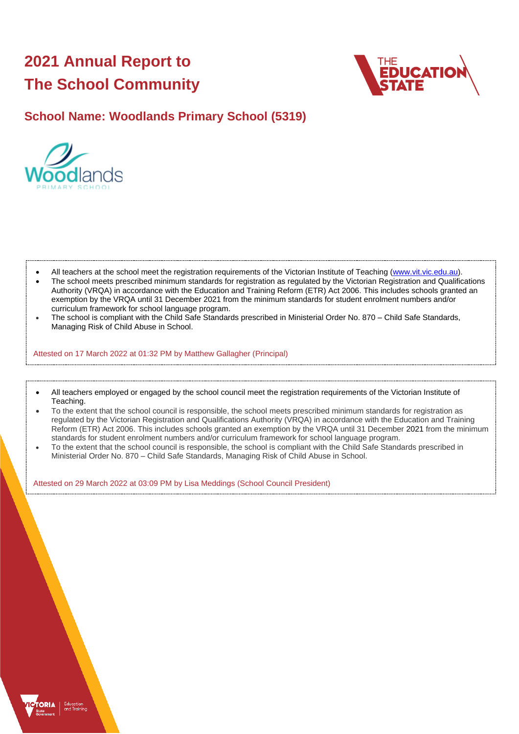# **2021 Annual Report to The School Community**



## **School Name: Woodlands Primary School (5319)**



- All teachers at the school meet the registration requirements of the Victorian Institute of Teaching [\(www.vit.vic.edu.au\)](https://www.vit.vic.edu.au/).
- The school meets prescribed minimum standards for registration as regulated by the Victorian Registration and Qualifications Authority (VRQA) in accordance with the Education and Training Reform (ETR) Act 2006. This includes schools granted an exemption by the VRQA until 31 December 2021 from the minimum standards for student enrolment numbers and/or curriculum framework for school language program.
- The school is compliant with the Child Safe Standards prescribed in Ministerial Order No. 870 Child Safe Standards, Managing Risk of Child Abuse in School.

Attested on 17 March 2022 at 01:32 PM by Matthew Gallagher (Principal)

- All teachers employed or engaged by the school council meet the registration requirements of the Victorian Institute of Teaching.
- To the extent that the school council is responsible, the school meets prescribed minimum standards for registration as regulated by the Victorian Registration and Qualifications Authority (VRQA) in accordance with the Education and Training Reform (ETR) Act 2006. This includes schools granted an exemption by the VRQA until 31 December 2021 from the minimum standards for student enrolment numbers and/or curriculum framework for school language program.
- To the extent that the school council is responsible, the school is compliant with the Child Safe Standards prescribed in Ministerial Order No. 870 – Child Safe Standards, Managing Risk of Child Abuse in School.

Attested on 29 March 2022 at 03:09 PM by Lisa Meddings (School Council President)

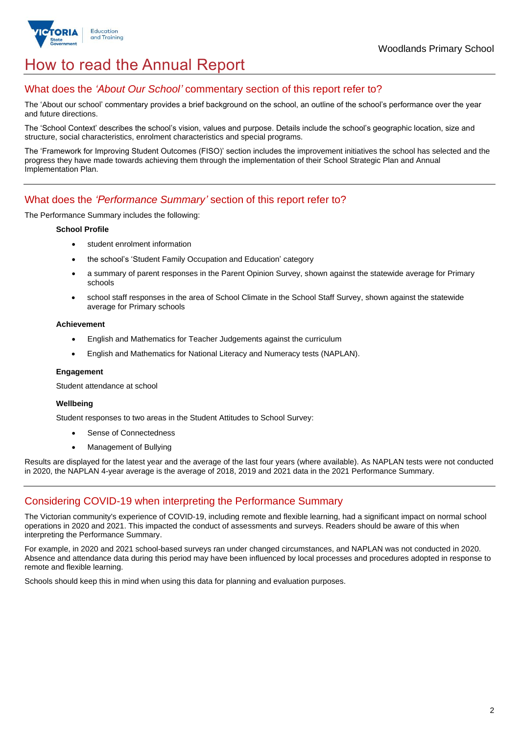

## How to read the Annual Report

## What does the *'About Our School'* commentary section of this report refer to?

The 'About our school' commentary provides a brief background on the school, an outline of the school's performance over the year and future directions.

The 'School Context' describes the school's vision, values and purpose. Details include the school's geographic location, size and structure, social characteristics, enrolment characteristics and special programs.

The 'Framework for Improving Student Outcomes (FISO)' section includes the improvement initiatives the school has selected and the progress they have made towards achieving them through the implementation of their School Strategic Plan and Annual Implementation Plan.

### What does the *'Performance Summary'* section of this report refer to?

The Performance Summary includes the following:

### **School Profile**

- student enrolment information
- the school's 'Student Family Occupation and Education' category
- a summary of parent responses in the Parent Opinion Survey, shown against the statewide average for Primary schools
- school staff responses in the area of School Climate in the School Staff Survey, shown against the statewide average for Primary schools

### **Achievement**

- English and Mathematics for Teacher Judgements against the curriculum
- English and Mathematics for National Literacy and Numeracy tests (NAPLAN).

### **Engagement**

Student attendance at school

### **Wellbeing**

Student responses to two areas in the Student Attitudes to School Survey:

- Sense of Connectedness
- Management of Bullying

Results are displayed for the latest year and the average of the last four years (where available). As NAPLAN tests were not conducted in 2020, the NAPLAN 4-year average is the average of 2018, 2019 and 2021 data in the 2021 Performance Summary.

## Considering COVID-19 when interpreting the Performance Summary

The Victorian community's experience of COVID-19, including remote and flexible learning, had a significant impact on normal school operations in 2020 and 2021. This impacted the conduct of assessments and surveys. Readers should be aware of this when interpreting the Performance Summary.

For example, in 2020 and 2021 school-based surveys ran under changed circumstances, and NAPLAN was not conducted in 2020. Absence and attendance data during this period may have been influenced by local processes and procedures adopted in response to remote and flexible learning.

Schools should keep this in mind when using this data for planning and evaluation purposes.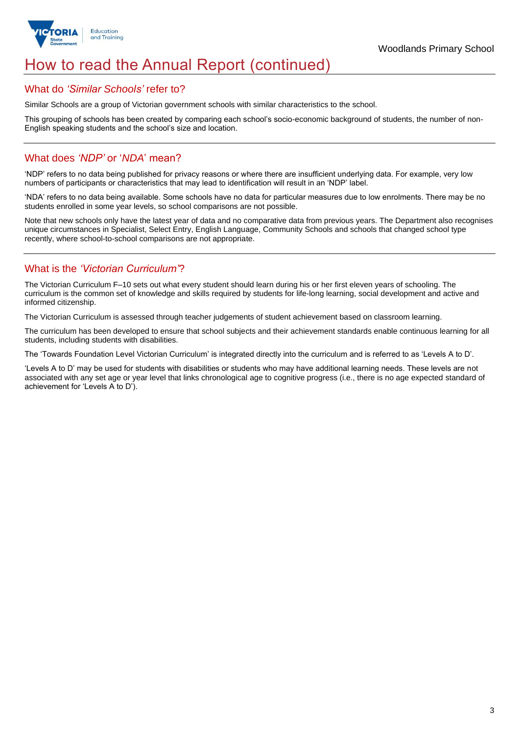

## How to read the Annual Report (continued)

### What do *'Similar Schools'* refer to?

Similar Schools are a group of Victorian government schools with similar characteristics to the school.

This grouping of schools has been created by comparing each school's socio-economic background of students, the number of non-English speaking students and the school's size and location.

## What does *'NDP'* or '*NDA*' mean?

'NDP' refers to no data being published for privacy reasons or where there are insufficient underlying data. For example, very low numbers of participants or characteristics that may lead to identification will result in an 'NDP' label.

'NDA' refers to no data being available. Some schools have no data for particular measures due to low enrolments. There may be no students enrolled in some year levels, so school comparisons are not possible.

Note that new schools only have the latest year of data and no comparative data from previous years. The Department also recognises unique circumstances in Specialist, Select Entry, English Language, Community Schools and schools that changed school type recently, where school-to-school comparisons are not appropriate.

## What is the *'Victorian Curriculum'*?

The Victorian Curriculum F–10 sets out what every student should learn during his or her first eleven years of schooling. The curriculum is the common set of knowledge and skills required by students for life-long learning, social development and active and informed citizenship.

The Victorian Curriculum is assessed through teacher judgements of student achievement based on classroom learning.

The curriculum has been developed to ensure that school subjects and their achievement standards enable continuous learning for all students, including students with disabilities.

The 'Towards Foundation Level Victorian Curriculum' is integrated directly into the curriculum and is referred to as 'Levels A to D'.

'Levels A to D' may be used for students with disabilities or students who may have additional learning needs. These levels are not associated with any set age or year level that links chronological age to cognitive progress (i.e., there is no age expected standard of achievement for 'Levels A to D').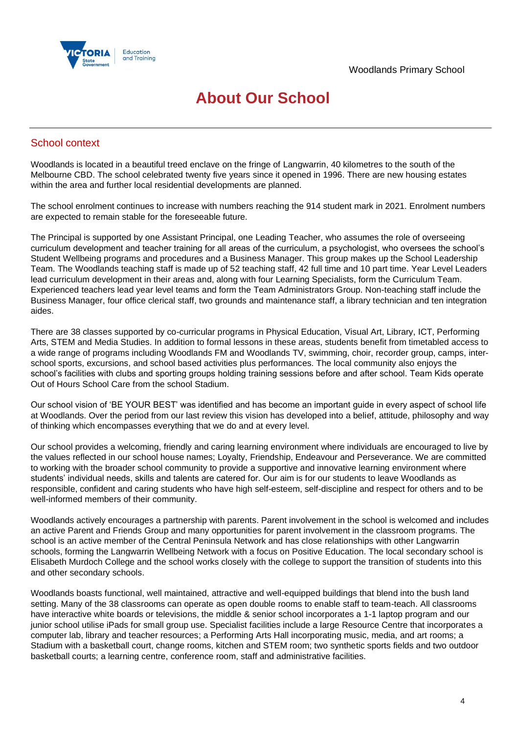

## **About Our School**

## School context

Woodlands is located in a beautiful treed enclave on the fringe of Langwarrin, 40 kilometres to the south of the Melbourne CBD. The school celebrated twenty five years since it opened in 1996. There are new housing estates within the area and further local residential developments are planned.

The school enrolment continues to increase with numbers reaching the 914 student mark in 2021. Enrolment numbers are expected to remain stable for the foreseeable future.

The Principal is supported by one Assistant Principal, one Leading Teacher, who assumes the role of overseeing curriculum development and teacher training for all areas of the curriculum, a psychologist, who oversees the school's Student Wellbeing programs and procedures and a Business Manager. This group makes up the School Leadership Team. The Woodlands teaching staff is made up of 52 teaching staff, 42 full time and 10 part time. Year Level Leaders lead curriculum development in their areas and, along with four Learning Specialists, form the Curriculum Team. Experienced teachers lead year level teams and form the Team Administrators Group. Non-teaching staff include the Business Manager, four office clerical staff, two grounds and maintenance staff, a library technician and ten integration aides.

There are 38 classes supported by co-curricular programs in Physical Education, Visual Art, Library, ICT, Performing Arts, STEM and Media Studies. In addition to formal lessons in these areas, students benefit from timetabled access to a wide range of programs including Woodlands FM and Woodlands TV, swimming, choir, recorder group, camps, interschool sports, excursions, and school based activities plus performances. The local community also enjoys the school's facilities with clubs and sporting groups holding training sessions before and after school. Team Kids operate Out of Hours School Care from the school Stadium.

Our school vision of 'BE YOUR BEST' was identified and has become an important guide in every aspect of school life at Woodlands. Over the period from our last review this vision has developed into a belief, attitude, philosophy and way of thinking which encompasses everything that we do and at every level.

Our school provides a welcoming, friendly and caring learning environment where individuals are encouraged to live by the values reflected in our school house names; Loyalty, Friendship, Endeavour and Perseverance. We are committed to working with the broader school community to provide a supportive and innovative learning environment where students' individual needs, skills and talents are catered for. Our aim is for our students to leave Woodlands as responsible, confident and caring students who have high self-esteem, self-discipline and respect for others and to be well-informed members of their community.

Woodlands actively encourages a partnership with parents. Parent involvement in the school is welcomed and includes an active Parent and Friends Group and many opportunities for parent involvement in the classroom programs. The school is an active member of the Central Peninsula Network and has close relationships with other Langwarrin schools, forming the Langwarrin Wellbeing Network with a focus on Positive Education. The local secondary school is Elisabeth Murdoch College and the school works closely with the college to support the transition of students into this and other secondary schools.

Woodlands boasts functional, well maintained, attractive and well-equipped buildings that blend into the bush land setting. Many of the 38 classrooms can operate as open double rooms to enable staff to team-teach. All classrooms have interactive white boards or televisions, the middle & senior school incorporates a 1-1 laptop program and our junior school utilise iPads for small group use. Specialist facilities include a large Resource Centre that incorporates a computer lab, library and teacher resources; a Performing Arts Hall incorporating music, media, and art rooms; a Stadium with a basketball court, change rooms, kitchen and STEM room; two synthetic sports fields and two outdoor basketball courts; a learning centre, conference room, staff and administrative facilities.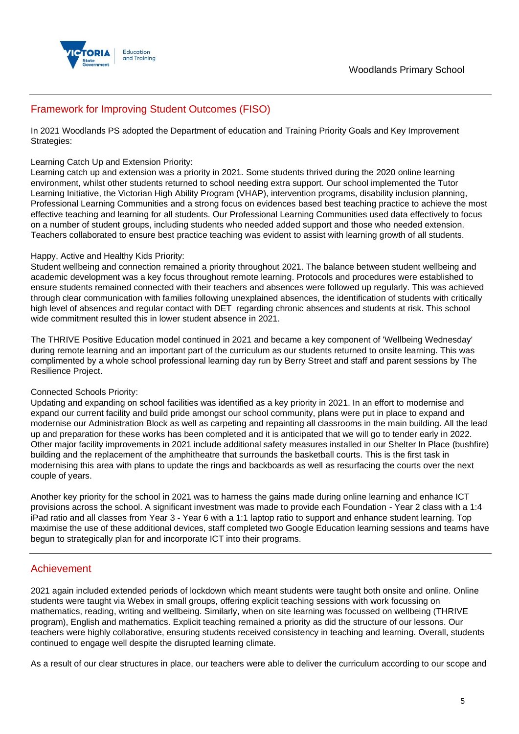

## Framework for Improving Student Outcomes (FISO)

In 2021 Woodlands PS adopted the Department of education and Training Priority Goals and Key Improvement Strategies:

### Learning Catch Up and Extension Priority:

Learning catch up and extension was a priority in 2021. Some students thrived during the 2020 online learning environment, whilst other students returned to school needing extra support. Our school implemented the Tutor Learning Initiative, the Victorian High Ability Program (VHAP), intervention programs, disability inclusion planning, Professional Learning Communities and a strong focus on evidences based best teaching practice to achieve the most effective teaching and learning for all students. Our Professional Learning Communities used data effectively to focus on a number of student groups, including students who needed added support and those who needed extension. Teachers collaborated to ensure best practice teaching was evident to assist with learning growth of all students.

### Happy, Active and Healthy Kids Priority:

Student wellbeing and connection remained a priority throughout 2021. The balance between student wellbeing and academic development was a key focus throughout remote learning. Protocols and procedures were established to ensure students remained connected with their teachers and absences were followed up regularly. This was achieved through clear communication with families following unexplained absences, the identification of students with critically high level of absences and regular contact with DET regarding chronic absences and students at risk. This school wide commitment resulted this in lower student absence in 2021.

The THRIVE Positive Education model continued in 2021 and became a key component of 'Wellbeing Wednesday' during remote learning and an important part of the curriculum as our students returned to onsite learning. This was complimented by a whole school professional learning day run by Berry Street and staff and parent sessions by The Resilience Project.

### Connected Schools Priority:

Updating and expanding on school facilities was identified as a key priority in 2021. In an effort to modernise and expand our current facility and build pride amongst our school community, plans were put in place to expand and modernise our Administration Block as well as carpeting and repainting all classrooms in the main building. All the lead up and preparation for these works has been completed and it is anticipated that we will go to tender early in 2022. Other major facility improvements in 2021 include additional safety measures installed in our Shelter In Place (bushfire) building and the replacement of the amphitheatre that surrounds the basketball courts. This is the first task in modernising this area with plans to update the rings and backboards as well as resurfacing the courts over the next couple of years.

Another key priority for the school in 2021 was to harness the gains made during online learning and enhance ICT provisions across the school. A significant investment was made to provide each Foundation - Year 2 class with a 1:4 iPad ratio and all classes from Year 3 - Year 6 with a 1:1 laptop ratio to support and enhance student learning. Top maximise the use of these additional devices, staff completed two Google Education learning sessions and teams have begun to strategically plan for and incorporate ICT into their programs.

### Achievement

2021 again included extended periods of lockdown which meant students were taught both onsite and online. Online students were taught via Webex in small groups, offering explicit teaching sessions with work focussing on mathematics, reading, writing and wellbeing. Similarly, when on site learning was focussed on wellbeing (THRIVE program), English and mathematics. Explicit teaching remained a priority as did the structure of our lessons. Our teachers were highly collaborative, ensuring students received consistency in teaching and learning. Overall, students continued to engage well despite the disrupted learning climate.

As a result of our clear structures in place, our teachers were able to deliver the curriculum according to our scope and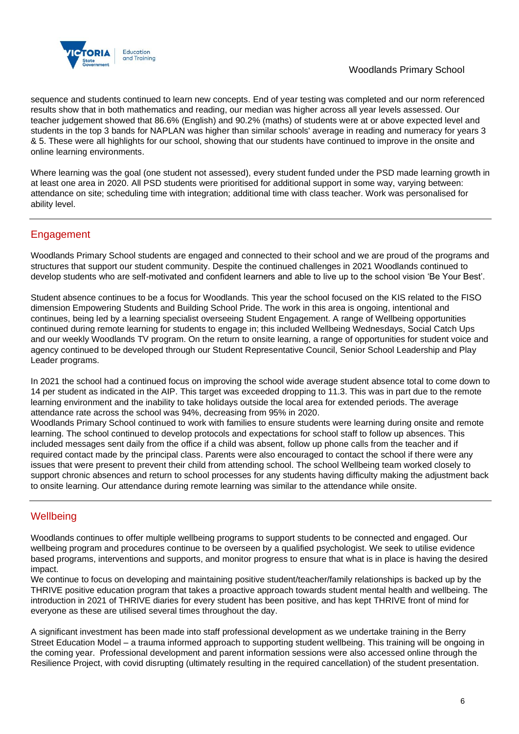

## Woodlands Primary School

sequence and students continued to learn new concepts. End of year testing was completed and our norm referenced results show that in both mathematics and reading, our median was higher across all year levels assessed. Our teacher judgement showed that 86.6% (English) and 90.2% (maths) of students were at or above expected level and students in the top 3 bands for NAPLAN was higher than similar schools' average in reading and numeracy for years 3 & 5. These were all highlights for our school, showing that our students have continued to improve in the onsite and online learning environments.

Where learning was the goal (one student not assessed), every student funded under the PSD made learning growth in at least one area in 2020. All PSD students were prioritised for additional support in some way, varying between: attendance on site; scheduling time with integration; additional time with class teacher. Work was personalised for ability level.

## Engagement

Woodlands Primary School students are engaged and connected to their school and we are proud of the programs and structures that support our student community. Despite the continued challenges in 2021 Woodlands continued to develop students who are self-motivated and confident learners and able to live up to the school vision 'Be Your Best'.

Student absence continues to be a focus for Woodlands. This year the school focused on the KIS related to the FISO dimension Empowering Students and Building School Pride. The work in this area is ongoing, intentional and continues, being led by a learning specialist overseeing Student Engagement. A range of Wellbeing opportunities continued during remote learning for students to engage in; this included Wellbeing Wednesdays, Social Catch Ups and our weekly Woodlands TV program. On the return to onsite learning, a range of opportunities for student voice and agency continued to be developed through our Student Representative Council, Senior School Leadership and Play Leader programs.

In 2021 the school had a continued focus on improving the school wide average student absence total to come down to 14 per student as indicated in the AIP. This target was exceeded dropping to 11.3. This was in part due to the remote learning environment and the inability to take holidays outside the local area for extended periods. The average attendance rate across the school was 94%, decreasing from 95% in 2020.

Woodlands Primary School continued to work with families to ensure students were learning during onsite and remote learning. The school continued to develop protocols and expectations for school staff to follow up absences. This included messages sent daily from the office if a child was absent, follow up phone calls from the teacher and if required contact made by the principal class. Parents were also encouraged to contact the school if there were any issues that were present to prevent their child from attending school. The school Wellbeing team worked closely to support chronic absences and return to school processes for any students having difficulty making the adjustment back to onsite learning. Our attendance during remote learning was similar to the attendance while onsite.

## **Wellbeing**

Woodlands continues to offer multiple wellbeing programs to support students to be connected and engaged. Our wellbeing program and procedures continue to be overseen by a qualified psychologist. We seek to utilise evidence based programs, interventions and supports, and monitor progress to ensure that what is in place is having the desired impact.

We continue to focus on developing and maintaining positive student/teacher/family relationships is backed up by the THRIVE positive education program that takes a proactive approach towards student mental health and wellbeing. The introduction in 2021 of THRIVE diaries for every student has been positive, and has kept THRIVE front of mind for everyone as these are utilised several times throughout the day.

A significant investment has been made into staff professional development as we undertake training in the Berry Street Education Model – a trauma informed approach to supporting student wellbeing. This training will be ongoing in the coming year. Professional development and parent information sessions were also accessed online through the Resilience Project, with covid disrupting (ultimately resulting in the required cancellation) of the student presentation.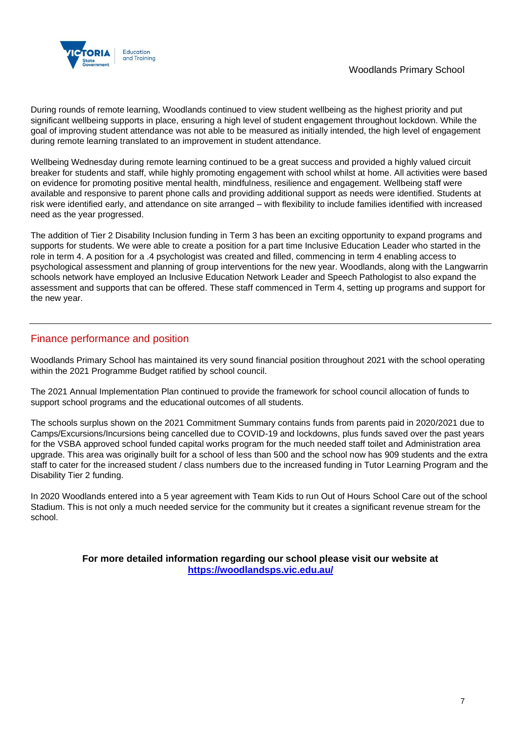

During rounds of remote learning, Woodlands continued to view student wellbeing as the highest priority and put significant wellbeing supports in place, ensuring a high level of student engagement throughout lockdown. While the goal of improving student attendance was not able to be measured as initially intended, the high level of engagement during remote learning translated to an improvement in student attendance.

Wellbeing Wednesday during remote learning continued to be a great success and provided a highly valued circuit breaker for students and staff, while highly promoting engagement with school whilst at home. All activities were based on evidence for promoting positive mental health, mindfulness, resilience and engagement. Wellbeing staff were available and responsive to parent phone calls and providing additional support as needs were identified. Students at risk were identified early, and attendance on site arranged – with flexibility to include families identified with increased need as the year progressed.

The addition of Tier 2 Disability Inclusion funding in Term 3 has been an exciting opportunity to expand programs and supports for students. We were able to create a position for a part time Inclusive Education Leader who started in the role in term 4. A position for a .4 psychologist was created and filled, commencing in term 4 enabling access to psychological assessment and planning of group interventions for the new year. Woodlands, along with the Langwarrin schools network have employed an Inclusive Education Network Leader and Speech Pathologist to also expand the assessment and supports that can be offered. These staff commenced in Term 4, setting up programs and support for the new year.

## Finance performance and position

Woodlands Primary School has maintained its very sound financial position throughout 2021 with the school operating within the 2021 Programme Budget ratified by school council.

The 2021 Annual Implementation Plan continued to provide the framework for school council allocation of funds to support school programs and the educational outcomes of all students.

The schools surplus shown on the 2021 Commitment Summary contains funds from parents paid in 2020/2021 due to Camps/Excursions/Incursions being cancelled due to COVID-19 and lockdowns, plus funds saved over the past years for the VSBA approved school funded capital works program for the much needed staff toilet and Administration area upgrade. This area was originally built for a school of less than 500 and the school now has 909 students and the extra staff to cater for the increased student / class numbers due to the increased funding in Tutor Learning Program and the Disability Tier 2 funding.

In 2020 Woodlands entered into a 5 year agreement with Team Kids to run Out of Hours School Care out of the school Stadium. This is not only a much needed service for the community but it creates a significant revenue stream for the school.

> **For more detailed information regarding our school please visit our website at <https://woodlandsps.vic.edu.au/>**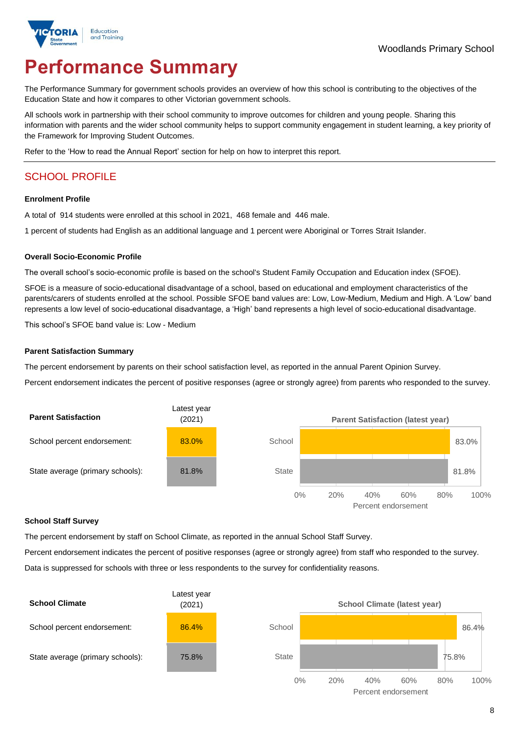

# **Performance Summary**

The Performance Summary for government schools provides an overview of how this school is contributing to the objectives of the Education State and how it compares to other Victorian government schools.

All schools work in partnership with their school community to improve outcomes for children and young people. Sharing this information with parents and the wider school community helps to support community engagement in student learning, a key priority of the Framework for Improving Student Outcomes.

Refer to the 'How to read the Annual Report' section for help on how to interpret this report.

## SCHOOL PROFILE

### **Enrolment Profile**

A total of 914 students were enrolled at this school in 2021, 468 female and 446 male.

1 percent of students had English as an additional language and 1 percent were Aboriginal or Torres Strait Islander.

### **Overall Socio-Economic Profile**

The overall school's socio-economic profile is based on the school's Student Family Occupation and Education index (SFOE).

SFOE is a measure of socio-educational disadvantage of a school, based on educational and employment characteristics of the parents/carers of students enrolled at the school. Possible SFOE band values are: Low, Low-Medium, Medium and High. A 'Low' band represents a low level of socio-educational disadvantage, a 'High' band represents a high level of socio-educational disadvantage.

This school's SFOE band value is: Low - Medium

### **Parent Satisfaction Summary**

The percent endorsement by parents on their school satisfaction level, as reported in the annual Parent Opinion Survey.

Percent endorsement indicates the percent of positive responses (agree or strongly agree) from parents who responded to the survey.



#### **School Staff Survey**

The percent endorsement by staff on School Climate, as reported in the annual School Staff Survey.

Percent endorsement indicates the percent of positive responses (agree or strongly agree) from staff who responded to the survey.

Data is suppressed for schools with three or less respondents to the survey for confidentiality reasons.

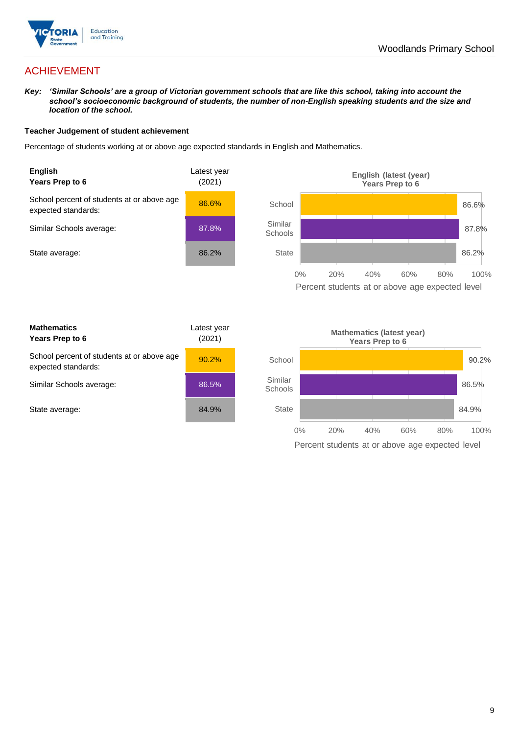

## ACHIEVEMENT

*Key: 'Similar Schools' are a group of Victorian government schools that are like this school, taking into account the school's socioeconomic background of students, the number of non-English speaking students and the size and location of the school.*

### **Teacher Judgement of student achievement**

Percentage of students working at or above age expected standards in English and Mathematics.



Percent students at or above age expected level

| <b>Mathematics</b><br>Years Prep to 6                             | Latest year<br>(2021) |
|-------------------------------------------------------------------|-----------------------|
| School percent of students at or above age<br>expected standards: | 90.2%                 |
| Similar Schools average:                                          | 86.5%                 |
| State average:                                                    | 84.9%                 |

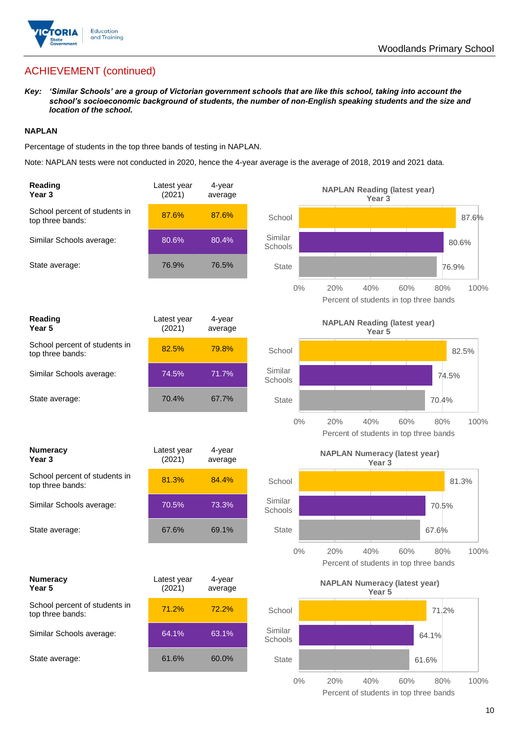

## ACHIEVEMENT (continued)

*Key: 'Similar Schools' are a group of Victorian government schools that are like this school, taking into account the school's socioeconomic background of students, the number of non-English speaking students and the size and location of the school.*

### **NAPLAN**

Percentage of students in the top three bands of testing in NAPLAN.

Note: NAPLAN tests were not conducted in 2020, hence the 4-year average is the average of 2018, 2019 and 2021 data.

| Reading<br>Year 3                                 | Latest year<br>(2021) | 4-year<br>average |                    | <b>NAPLAN Reading (latest year)</b><br>Year <sub>3</sub>                   |  |
|---------------------------------------------------|-----------------------|-------------------|--------------------|----------------------------------------------------------------------------|--|
| School percent of students in<br>top three bands: | 87.6%                 | 87.6%             | School             | 87.6%                                                                      |  |
| Similar Schools average:                          | 80.6%                 | 80.4%             | Similar<br>Schools | 80.6%                                                                      |  |
| State average:                                    | 76.9%                 | 76.5%             | <b>State</b>       | 76.9%                                                                      |  |
|                                                   |                       |                   | $0\%$              | 20%<br>40%<br>60%<br>100%<br>80%<br>Percent of students in top three bands |  |
| Reading<br>Year <sub>5</sub>                      | Latest year<br>(2021) | 4-year<br>average |                    | <b>NAPLAN Reading (latest year)</b><br>Year <sub>5</sub>                   |  |
| School percent of students in<br>top three bands: | 82.5%                 | 79.8%             | School             | 82.5%                                                                      |  |
| Similar Schools average:                          | 74.5%                 | 71.7%             | Similar<br>Schools | 74.5%                                                                      |  |
| State average:                                    | 70.4%                 | 67.7%             | <b>State</b>       | 70.4%                                                                      |  |
|                                                   |                       |                   | $0\%$              | 20%<br>40%<br>60%<br>100%<br>80%<br>Percent of students in top three bands |  |
|                                                   |                       |                   |                    |                                                                            |  |
| <b>Numeracy</b><br>Year <sub>3</sub>              | Latest year<br>(2021) | 4-year<br>average |                    | <b>NAPLAN Numeracy (latest year)</b><br>Year <sub>3</sub>                  |  |
| School percent of students in<br>top three bands: | 81.3%                 | 84.4%             | School             | 81.3%                                                                      |  |
| Similar Schools average:                          | 70.5%                 | 73.3%             | Similar<br>Schools | 70.5%                                                                      |  |
| State average:                                    | 67.6%                 | 69.1%             | <b>State</b>       | 67.6%                                                                      |  |
|                                                   |                       |                   | $0\%$              | 20%<br>40%<br>60%<br>80%<br>100%<br>Percent of students in top three bands |  |
| <b>Numeracy</b><br>Year 5                         | Latest year<br>(2021) | 4-year<br>average |                    | <b>NAPLAN Numeracy (latest year)</b><br>Year <sub>5</sub>                  |  |
| School percent of students in<br>top three bands: | 71.2%                 | 72.2%             | School             | 71.2%                                                                      |  |
| Similar Schools average:                          | 64.1%                 | 63.1%             | Similar<br>Schools | 64.1%                                                                      |  |
| State average:                                    | 61.6%                 | 60.0%             | <b>State</b>       | 61.6%                                                                      |  |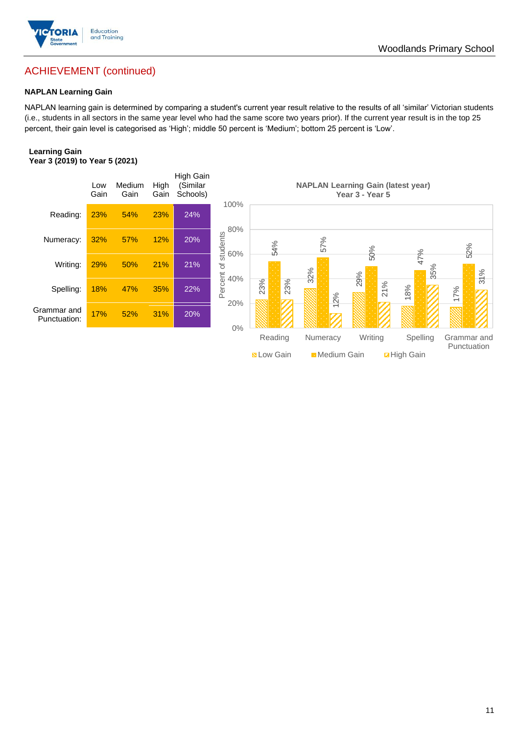

## ACHIEVEMENT (continued)

### **NAPLAN Learning Gain**

NAPLAN learning gain is determined by comparing a student's current year result relative to the results of all 'similar' Victorian students (i.e., students in all sectors in the same year level who had the same score two years prior). If the current year result is in the top 25 percent, their gain level is categorised as 'High'; middle 50 percent is 'Medium'; bottom 25 percent is 'Low'.

### **Learning Gain Year 3 (2019) to Year 5 (2021)**



Woodlands Primary School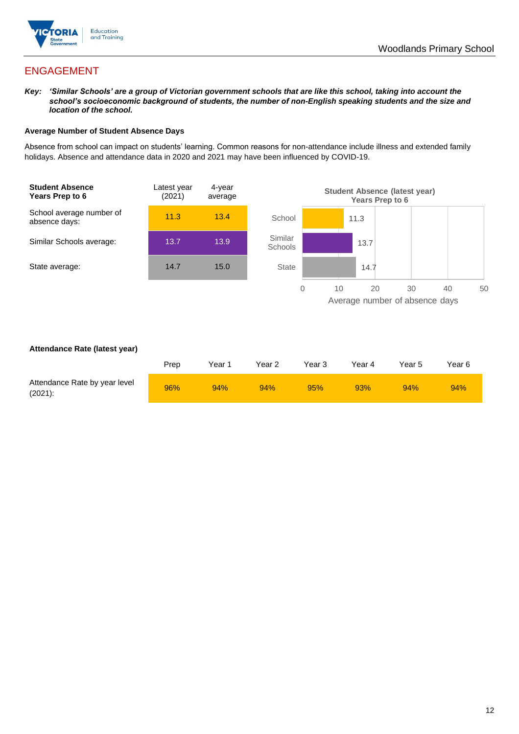

## ENGAGEMENT

*Key: 'Similar Schools' are a group of Victorian government schools that are like this school, taking into account the school's socioeconomic background of students, the number of non-English speaking students and the size and location of the school.*

### **Average Number of Student Absence Days**

Absence from school can impact on students' learning. Common reasons for non-attendance include illness and extended family holidays. Absence and attendance data in 2020 and 2021 may have been influenced by COVID-19.



### **Attendance Rate (latest year)**

|                                             | Prep | Year 1 | Year 2 | Year 3 | Year 4 | Year 5 | Year 6 |
|---------------------------------------------|------|--------|--------|--------|--------|--------|--------|
| Attendance Rate by year level<br>$(2021)$ : | 96%  | 94%    | 94%    | 95%    | 93%    | 94%    | 94%    |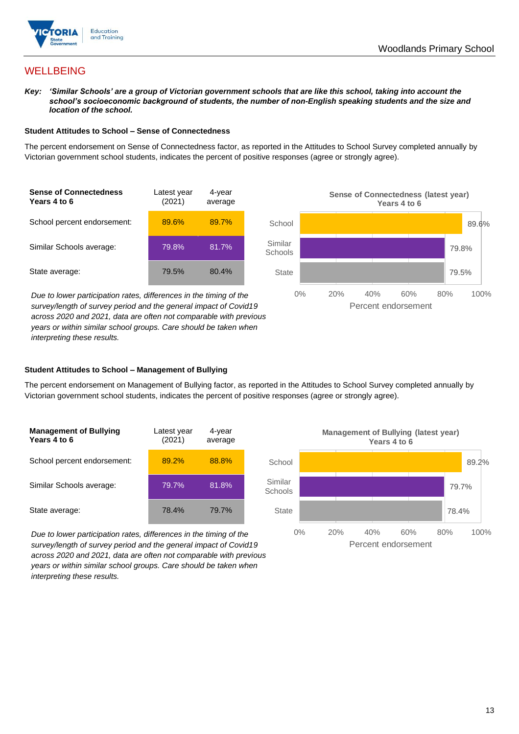

## **WELLBEING**

*Key: 'Similar Schools' are a group of Victorian government schools that are like this school, taking into account the school's socioeconomic background of students, the number of non-English speaking students and the size and location of the school.*

### **Student Attitudes to School – Sense of Connectedness**

The percent endorsement on Sense of Connectedness factor, as reported in the Attitudes to School Survey completed annually by Victorian government school students, indicates the percent of positive responses (agree or strongly agree).



*Due to lower participation rates, differences in the timing of the survey/length of survey period and the general impact of Covid19 across 2020 and 2021, data are often not comparable with previous years or within similar school groups. Care should be taken when interpreting these results.*



### **Student Attitudes to School – Management of Bullying**

The percent endorsement on Management of Bullying factor, as reported in the Attitudes to School Survey completed annually by Victorian government school students, indicates the percent of positive responses (agree or strongly agree).

| <b>Management of Bullying</b><br>Years 4 to 6 | Latest year<br>(2021) | 4-year<br>average |  |
|-----------------------------------------------|-----------------------|-------------------|--|
| School percent endorsement:                   | 89.2%                 | 88.8%             |  |
| Similar Schools average:                      | 79.7%                 | 81.8%             |  |
| State average:                                | 78.4%                 | 79.7%             |  |

*Due to lower participation rates, differences in the timing of the survey/length of survey period and the general impact of Covid19 across 2020 and 2021, data are often not comparable with previous years or within similar school groups. Care should be taken when interpreting these results.*

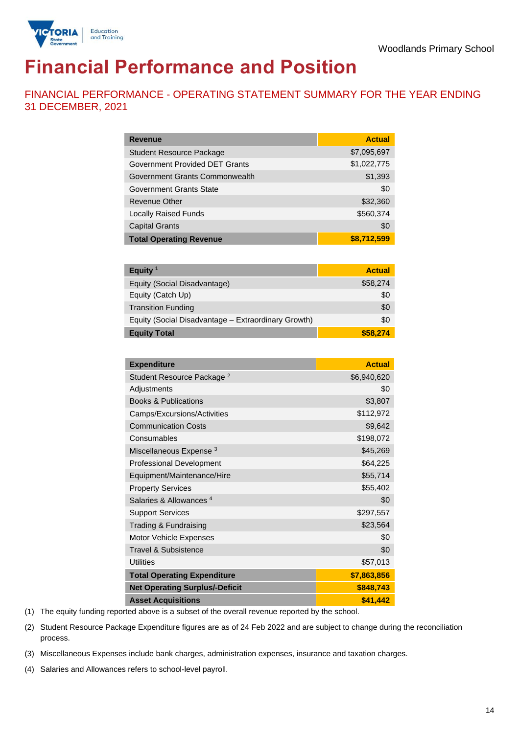

# **Financial Performance and Position**

FINANCIAL PERFORMANCE - OPERATING STATEMENT SUMMARY FOR THE YEAR ENDING 31 DECEMBER, 2021

| <b>Revenue</b>                  | <b>Actual</b> |
|---------------------------------|---------------|
| <b>Student Resource Package</b> | \$7,095,697   |
| Government Provided DET Grants  | \$1,022,775   |
| Government Grants Commonwealth  | \$1,393       |
| <b>Government Grants State</b>  | \$0           |
| <b>Revenue Other</b>            | \$32,360      |
| <b>Locally Raised Funds</b>     | \$560,374     |
| <b>Capital Grants</b>           | \$0           |
| <b>Total Operating Revenue</b>  | \$8,712,599   |

| Equity <sup>1</sup>                                 | <b>Actual</b> |
|-----------------------------------------------------|---------------|
| Equity (Social Disadvantage)                        | \$58,274      |
| Equity (Catch Up)                                   | \$0           |
| <b>Transition Funding</b>                           | \$0           |
| Equity (Social Disadvantage - Extraordinary Growth) | \$0           |
| <b>Equity Total</b>                                 | \$58,274      |

| <b>Expenditure</b>                    | <b>Actual</b> |
|---------------------------------------|---------------|
| Student Resource Package <sup>2</sup> | \$6,940,620   |
| Adjustments                           | \$0           |
| <b>Books &amp; Publications</b>       | \$3,807       |
| Camps/Excursions/Activities           | \$112,972     |
| <b>Communication Costs</b>            | \$9,642       |
| Consumables                           | \$198,072     |
| Miscellaneous Expense <sup>3</sup>    | \$45,269      |
| <b>Professional Development</b>       | \$64,225      |
| Equipment/Maintenance/Hire            | \$55,714      |
| <b>Property Services</b>              | \$55,402      |
| Salaries & Allowances <sup>4</sup>    | \$0           |
| <b>Support Services</b>               | \$297,557     |
| Trading & Fundraising                 | \$23,564      |
| Motor Vehicle Expenses                | \$0           |
| <b>Travel &amp; Subsistence</b>       | \$0           |
| <b>Utilities</b>                      | \$57,013      |
| <b>Total Operating Expenditure</b>    | \$7,863,856   |
| <b>Net Operating Surplus/-Deficit</b> | \$848,743     |
| <b>Asset Acquisitions</b>             | \$41,442      |

(1) The equity funding reported above is a subset of the overall revenue reported by the school.

(2) Student Resource Package Expenditure figures are as of 24 Feb 2022 and are subject to change during the reconciliation process.

(3) Miscellaneous Expenses include bank charges, administration expenses, insurance and taxation charges.

(4) Salaries and Allowances refers to school-level payroll.